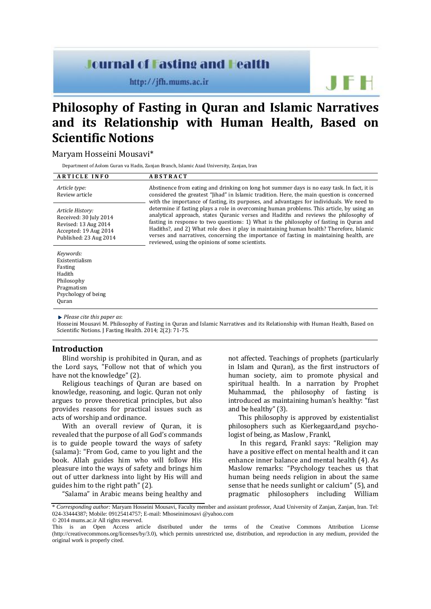# **Journal of Fasting and Health**

http://jfh.mums.ac.ir

 $F H$ 

# **Philosophy of Fasting in Quran and Islamic Narratives and its Relationship with Human Health, Based on Scientific Notions**

# Maryam Hosseini Mousavi\*

Department of Aolom Guran va Hadis, Zanjan Branch, Islamic Azad University, Zanjan, Iran

| <b>ARTICLE INFO</b>                                                                                                   | <b>ABSTRACT</b>                                                                                                                                                                                                                                                                                                                                                                                                                                                                                                                                                                                                                                                                                                                                                                                                |
|-----------------------------------------------------------------------------------------------------------------------|----------------------------------------------------------------------------------------------------------------------------------------------------------------------------------------------------------------------------------------------------------------------------------------------------------------------------------------------------------------------------------------------------------------------------------------------------------------------------------------------------------------------------------------------------------------------------------------------------------------------------------------------------------------------------------------------------------------------------------------------------------------------------------------------------------------|
| Article type:<br>Review article                                                                                       | Abstinence from eating and drinking on long hot summer days is no easy task. In fact, it is<br>considered the greatest "[ihad" in Islamic tradition. Here, the main question is concerned<br>with the importance of fasting, its purposes, and advantages for individuals. We need to<br>determine if fasting plays a role in overcoming human problems. This article, by using an<br>analytical approach, states Quranic verses and Hadiths and reviews the philosophy of<br>fasting in response to two questions: 1) What is the philosophy of fasting in Quran and<br>Hadiths?, and 2) What role does it play in maintaining human health? Therefore, Islamic<br>verses and narratives, concerning the importance of fasting in maintaining health, are<br>reviewed, using the opinions of some scientists. |
| Article History:<br>Received: 30 July 2014<br>Revised: 13 Aug 2014<br>Accepted: 19 Aug 2014<br>Published: 23 Aug 2014 |                                                                                                                                                                                                                                                                                                                                                                                                                                                                                                                                                                                                                                                                                                                                                                                                                |
| Keywords:<br>Existentialism<br>Fasting<br>Hadith<br>Philosophy<br>Pragmatism                                          |                                                                                                                                                                                                                                                                                                                                                                                                                                                                                                                                                                                                                                                                                                                                                                                                                |

*Please cite this paper as*:

Psychology of being

Quran

Hosseini Mousavi M. Philosophy of Fasting in Quran and Islamic Narratives and its Relationship with Human Health, Based on Scientific Notions. J Fasting Health. 2014; 2(2): 71-75.

# **Introduction**

Blind worship is prohibited in Quran, and as the Lord says, "Follow not that of which you have not the knowledge" (2).

Religious teachings of Quran are based on knowledge, reasoning, and logic. Quran not only argues to prove theoretical principles, but also provides reasons for practical issues such as acts of worship and ordinance.

With an overall review of Quran, it is revealed that the purpose of all God's commands is to guide people toward the ways of safety (salama): "From God, came to you light and the book. Allah guides him who will follow His pleasure into the ways of safety and brings him out of utter darkness into light by His will and guides him to the right path" (2).

"Salama" in Arabic means being healthy and

not affected. Teachings of prophets (particularly in Islam and Quran), as the first instructors of human society, aim to promote physical and spiritual health. In a narration by Prophet Muhammad, the philosophy of fasting is introduced as maintaining human's healthy: "fast and be healthy" (3).

This philosophy is approved by existentialist philosophers such as Kierkegaard,and psychologist of being, as Maslow , Frankl,

In this regard, Frankl says: "Religion may have a positive effect on mental health and it can enhance inner balance and mental health (4). As Maslow remarks: "Psychology teaches us that human being needs religion in about the same sense that he needs sunlight or calcium" (5), and pragmatic philosophers including William

<sup>\*</sup> *Corresponding author:* Maryam Hosseini Mousavi, Faculty member and assistant professor, Azad University of Zanjan, Zanjan, Iran. Tel: 024-33444387; Mobile: 09125414757; E-mail: Mhoseinimosavi @yahoo.com © 2014 mums.ac.ir All rights reserved.

This is an Open Access article distributed under the terms of the Creative Commons Attribution License (http://creativecommons.org/licenses/by/3.0), which permits unrestricted use, distribution, and reproduction in any medium, provided the original work is properly cited.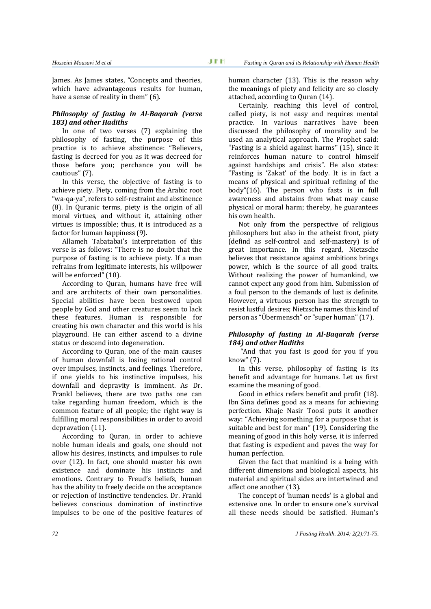James. As James states, "Concepts and theories, which have advantageous results for human, have a sense of reality in them" (6).

#### *Philosophy of fasting in Al-Baqarah (verse 183) and other Hadiths*

In one of two verses (7) explaining the philosophy of fasting, the purpose of this practice is to achieve abstinence: "Believers, fasting is decreed for you as it was decreed for those before you; perchance you will be cautious" (7).

In this verse, the objective of fasting is to achieve piety. Piety, coming from the Arabic root "wa-qa-ya", refers to self-restraint and abstinence (8). In Quranic terms, piety is the origin of all moral virtues, and without it, attaining other virtues is impossible; thus, it is introduced as a factor for human happiness (9).

Allameh Tabatabai's interpretation of this verse is as follows: "There is no doubt that the purpose of fasting is to achieve piety. If a man refrains from legitimate interests, his willpower will be enforced" (10).

According to Quran, humans have free will and are architects of their own personalities. Special abilities have been bestowed upon people by God and other creatures seem to lack these features. Human is responsible for creating his own character and this world is his playground. He can either ascend to a divine status or descend into degeneration.

According to Quran, one of the main causes of human downfall is losing rational control over impulses, instincts, and feelings. Therefore, if one yields to his instinctive impulses, his downfall and depravity is imminent. As Dr. Frankl believes, there are two paths one can take regarding human freedom, which is the common feature of all people; the right way is fulfilling moral responsibilities in order to avoid depravation (11).

According to Quran, in order to achieve noble human ideals and goals, one should not allow his desires, instincts, and impulses to rule over (12). In fact, one should master his own existence and dominate his instincts and emotions. Contrary to Freud's beliefs, human has the ability to freely decide on the acceptance or rejection of instinctive tendencies. Dr. Frankl believes conscious domination of instinctive impulses to be one of the positive features of human character (13). This is the reason why the meanings of piety and felicity are so closely attached, according to Quran (14).

Certainly, reaching this level of control, called piety, is not easy and requires mental practice. In various narratives have been discussed the philosophy of morality and be used an analytical approach. The Prophet said: "Fasting is a shield against harms" (15), since it reinforces human nature to control himself against hardships and crisis". He also states: "Fasting is 'Zakat' of the body. It is in fact a means of physical and spiritual refining of the body"(16). The person who fasts is in full awareness and abstains from what may cause physical or moral harm; thereby, he guarantees his own health.

Not only from the perspective of religious philosophers but also in the atheist front, piety (defind as self-control and self-mastery) is of great importance. In this regard, Nietzsche believes that resistance against ambitions brings power, which is the source of all good traits. Without realizing the power of humankind, we cannot expect any good from him. Submission of a foul person to the demands of lust is definite. However, a virtuous person has the strength to resist lustful desires; Nietzsche names this kind of person as "Übermensch" or "super human" (17).

## *Philosophy of fasting in Al-Baqarah (verse 184) and other Hadiths*

"And that you fast is good for you if you know" (7).

In this verse, philosophy of fasting is its benefit and advantage for humans. Let us first examine the meaning of good.

Good in ethics refers benefit and profit (18). Ibn Sina defines good as a means for achieving perfection. Khaje Nasir Toosi puts it another way: "Achieving something for a purpose that is suitable and best for man" (19). Considering the meaning of good in this holy verse, it is inferred that fasting is expedient and paves the way for human perfection.

Given the fact that mankind is a being with different dimensions and biological aspects, his material and spiritual sides are intertwined and affect one another (13).

The concept of 'human needs' is a global and extensive one. In order to ensure one's survival all these needs should be satisfied. Human's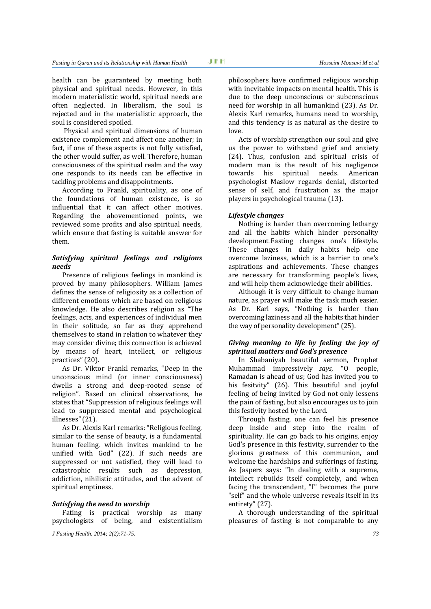health can be guaranteed by meeting both physical and spiritual needs. However, in this modern materialistic world, spiritual needs are often neglected. In liberalism, the soul is rejected and in the materialistic approach, the soul is considered spoiled.

Physical and spiritual dimensions of human existence complement and affect one another; in fact, if one of these aspects is not fully satisfied, the other would suffer, as well. Therefore, human consciousness of the spiritual realm and the way one responds to its needs can be effective in tackling problems and disappointments.

According to Frankl, spirituality, as one of the foundations of human existence, is so influential that it can affect other motives. Regarding the abovementioned points, we reviewed some profits and also spiritual needs, which ensure that fasting is suitable answer for them.

# *Satisfying spiritual feelings and religious needs*

Presence of religious feelings in mankind is proved by many philosophers. William James defines the sense of religiosity as a collection of different emotions which are based on religious knowledge. He also describes religion as "The feelings, acts, and experiences of individual men in their solitude, so far as they apprehend themselves to stand in relation to whatever they may consider divine; this connection is achieved by means of heart, intellect, or religious practices" (20).

As Dr. Viktor Frankl remarks, "Deep in the unconscious mind (or inner consciousness) dwells a strong and deep-rooted sense of religion". Based on clinical observations, he states that "Suppression of religious feelings will lead to suppressed mental and psychological illnesses"(21).

As Dr. Alexis Karl remarks: "Religious feeling, similar to the sense of beauty, is a fundamental human feeling, which invites mankind to be unified with God" (22). If such needs are suppressed or not satisfied, they will lead to catastrophic results such as depression, addiction, nihilistic attitudes, and the advent of spiritual emptiness.

### *Satisfying the need to worship*

Fating is practical worship as many psychologists of being, and existentialism

*J Fasting Health. 2014; 2(2):71-75. 73*

philosophers have confirmed religious worship with inevitable impacts on mental health. This is due to the deep unconscious or subconscious need for worship in all humankind (23). As Dr. Alexis Karl remarks, humans need to worship, and this tendency is as natural as the desire to love.

Acts of worship strengthen our soul and give us the power to withstand grief and anxiety (24). Thus, confusion and spiritual crisis of modern man is the result of his negligence towards his spiritual needs. American psychologist Maslow regards denial, distorted sense of self, and frustration as the major players in psychological trauma (13).

#### *Lifestyle changes*

Nothing is harder than overcoming lethargy and all the habits which hinder personality development.Fasting changes one's lifestyle. These changes in daily habits help one overcome laziness, which is a barrier to one's aspirations and achievements. These changes are necessary for transforming people's lives, and will help them acknowledge their abilities.

Although it is very difficult to change human nature, as prayer will make the task much easier. As Dr. Karl says, "Nothing is harder than overcoming laziness and all the habits that hinder the way of personality development" (25).

#### *Giving meaning to life by feeling the joy of spiritual matters and God's presence*

In Shabaniyah beautiful sermon, Prophet Muhammad impressively *says*, "O people, Ramadan is ahead of us; God has invited you to his fesitvity" (26). This beautiful and joyful feeling of being invited by God not only lessens the pain of fasting, but also encourages us to join this festivity hosted by the Lord.

Through fasting, one can feel his presence deep inside and step into the realm of spirituality. He can go back to his origins, enjoy God's presence in this festivity, surrender to the glorious greatness of this communion, and welcome the hardships and sufferings of fasting. As Jaspers says: "In dealing with a supreme, intellect rebuilds itself completely, and when facing the transcendent, "I" becomes the pure "self" and the whole universe reveals itself in its entirety" (27).

A thorough understanding of the spiritual pleasures of fasting is not comparable to any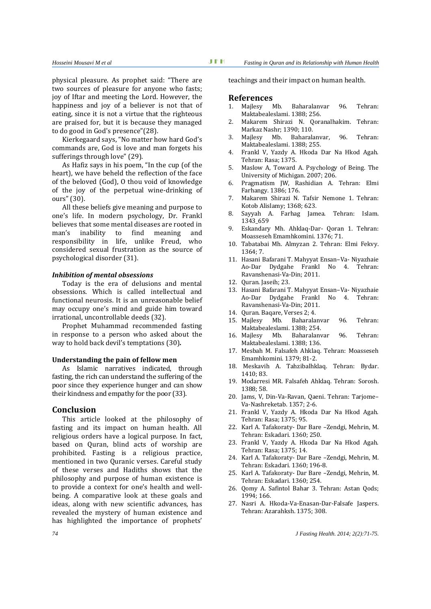physical pleasure. As prophet said: "There are two sources of pleasure for anyone who fasts; joy of Iftar and meeting the Lord. However, the happiness and joy of a believer is not that of eating, since it is not a virtue that the righteous are praised for, but it is because they managed to do good in God's presence"(28).

Kierkegaard says, "No matter how hard God's commands are, God is love and man forgets his sufferings through love" (29).

As Hafiz says in his poem, "In the cup (of the heart), we have beheld the reflection of the face of the beloved (God), O thou void of knowledge of the joy of the perpetual wine-drinking of ours" (30).

All these beliefs give meaning and purpose to one's life. In modern psychology, Dr. Frankl believes that some mental diseases are rooted in man's inability to find meaning and responsibility in life, unlike Freud, who considered sexual frustration as the source of psychological disorder (31).

#### *Inhibition of mental obsessions*

Today is the era of delusions and mental obsessions. Which is called intellectual and functional neurosis. It is an unreasonable belief may occupy one's mind and guide him toward irrational, uncontrollable deeds (32).

Prophet Muhammad recommended fasting in response to a person who asked about the way to hold back devil's temptations (30)*.*

#### **Understanding the pain of fellow men**

As Islamic narratives indicated, through fasting, the rich can understand the suffering of the poor since they experience hunger and can show their kindness and empathy for the poor (33).

#### **Conclusion**

This article looked at the philosophy of fasting and its impact on human health. All religious orders have a logical purpose. In fact, based on Quran, blind acts of worship are prohibited. Fasting is a religious practice, mentioned in two Quranic verses. Careful study of these verses and Hadiths shows that the philosophy and purpose of human existence is to provide a context for one's health and wellbeing. A comparative look at these goals and ideas, along with new scientific advances, has revealed the mystery of human existence and has highlighted the importance of prophets'

teachings and their impact on human health.

#### **References**

- 1. Majlesy Mb. Baharalanvar 96. Tehran: Maktabealeslami. 1388; 256.
- 2. Makarem Shirazi N. Qoranalhakim. Tehran: Markaz Nashr; 1390; 110.
- 3. Majlesy Mb. Baharalanvar, 96. Tehran: Maktabealeslami. 1388; 255.
- 4. Frankl V, Yazdy A. Hkoda Dar Na Hkod Agah. Tehran: Rasa; 1375.
- 5. Maslow A, Toward A. Psychology of Being. The University of Michigan. 2007; 206.
- 6. Pragmatism JW, Rashidian A. Tehran: Elmi Farhangy. 1386; 176.
- 7. Makarem Shirazi N. Tafsir Nemone 1. Tehran: Kotob Alislamy; 1368; 623.
- 8. Sayyah A. Farhag Jamea. Tehran: Islam. 1343\_659
- 9. Eskandary Mh. Ahklaq-Dar- Qoran 1. Tehran: Moasseseh Emamhkomini. 1376; 71.
- 10. Tabatabai Mh. Almyzan 2. Tehran: Elmi Fekvy.  $1364 \cdot 7$
- 11. Hasani Bafarani T. Mahyyat Ensan–Va- Niyazhaie Ao-Dar Dydgahe Frankl No 4. Tehran: Ravanshenasi-Va-Din; 2011.
- 12. Quran. Jaseih; 23.
- 13. Hasani Bafarani T. Mahyyat Ensan–Va- Niyazhaie Ao-Dar Dydgahe Frankl No 4. Tehran: Ravanshenasi-Va-Din; 2011.
- 14. Quran. Baqare, Verses 2; 4.
- 15. Majlesy Mb. Baharalanvar 96. Tehran: Maktabealeslami. 1388; 254.
- 16. Majlesy Mb. Baharalanvar 96. Tehran: Maktabealeslami. 1388; 136.
- 17. Mesbah M. Falsafeh Ahklaq. Tehran: Moasseseh Emamhkomini. 1379; 81-2.
- 18. Meskavih A. Tahzibalhklaq. Tehran: Bydar. 1410; 83.
- 19. Modarresi MR. Falsafeh Ahklaq. Tehran: Sorosh. 1388; 58.
- 20. Jams, V, Din-Va-Ravan, Qaeni. Tehran: Tarjome– Va-Nashreketab. 1357; 2-6.
- 21. Frankl V, Yazdy A. Hkoda Dar Na Hkod Agah. Tehran: Rasa; 1375; 95.
- 22. Karl A. Tafakoraty- Dar Bare –Zendgi, Mehrin, M. Tehran: Eskadari. 1360; 250.
- 23. Frankl V, Yazdy A. Hkoda Dar Na Hkod Agah. Tehran: Rasa; 1375; 14.
- 24. Karl A. Tafakoraty- Dar Bare –Zendgi, Mehrin, M. Tehran: Eskadari. 1360; 196-8.
- 25. Karl A. Tafakoraty- Dar Bare –Zendgi, Mehrin, M. Tehran: Eskadari. 1360; 254.
- 26. Qomy A. Safintol Bahar 3. Tehran: Astan Qods; 1994; 166.
- 27. Nasri A. Hkoda-Va-Enasan-Dar-Falsafe Jaspers. Tehran: Azarahksh. 1375; 308.